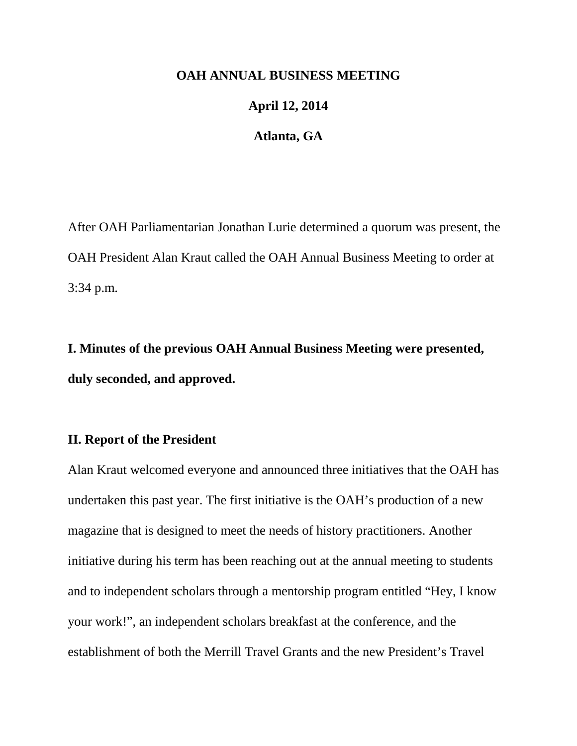#### **OAH ANNUAL BUSINESS MEETING**

# **April 12, 2014**

#### **Atlanta, GA**

After OAH Parliamentarian Jonathan Lurie determined a quorum was present, the OAH President Alan Kraut called the OAH Annual Business Meeting to order at 3:34 p.m.

**I. Minutes of the previous OAH Annual Business Meeting were presented, duly seconded, and approved.**

# **II. Report of the President**

Alan Kraut welcomed everyone and announced three initiatives that the OAH has undertaken this past year. The first initiative is the OAH's production of a new magazine that is designed to meet the needs of history practitioners. Another initiative during his term has been reaching out at the annual meeting to students and to independent scholars through a mentorship program entitled "Hey, I know your work!", an independent scholars breakfast at the conference, and the establishment of both the Merrill Travel Grants and the new President's Travel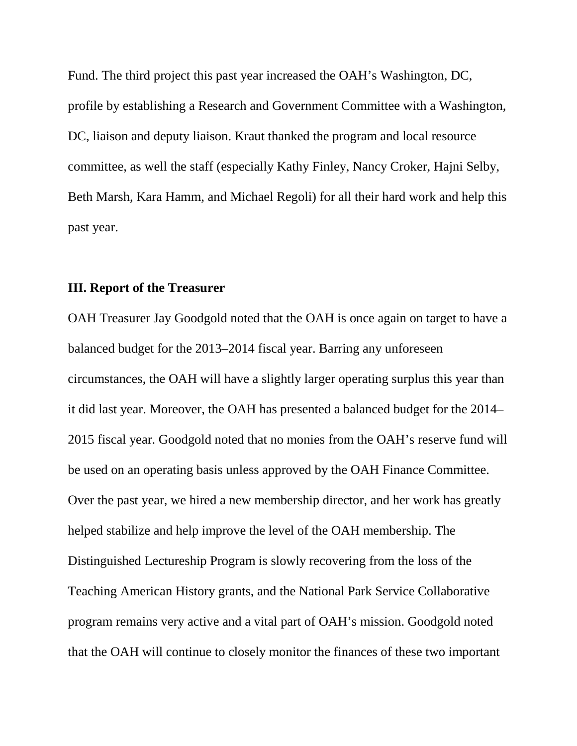Fund. The third project this past year increased the OAH's Washington, DC, profile by establishing a Research and Government Committee with a Washington, DC, liaison and deputy liaison. Kraut thanked the program and local resource committee, as well the staff (especially Kathy Finley, Nancy Croker, Hajni Selby, Beth Marsh, Kara Hamm, and Michael Regoli) for all their hard work and help this past year.

#### **III. Report of the Treasurer**

OAH Treasurer Jay Goodgold noted that the OAH is once again on target to have a balanced budget for the 2013–2014 fiscal year. Barring any unforeseen circumstances, the OAH will have a slightly larger operating surplus this year than it did last year. Moreover, the OAH has presented a balanced budget for the 2014– 2015 fiscal year. Goodgold noted that no monies from the OAH's reserve fund will be used on an operating basis unless approved by the OAH Finance Committee. Over the past year, we hired a new membership director, and her work has greatly helped stabilize and help improve the level of the OAH membership. The Distinguished Lectureship Program is slowly recovering from the loss of the Teaching American History grants, and the National Park Service Collaborative program remains very active and a vital part of OAH's mission. Goodgold noted that the OAH will continue to closely monitor the finances of these two important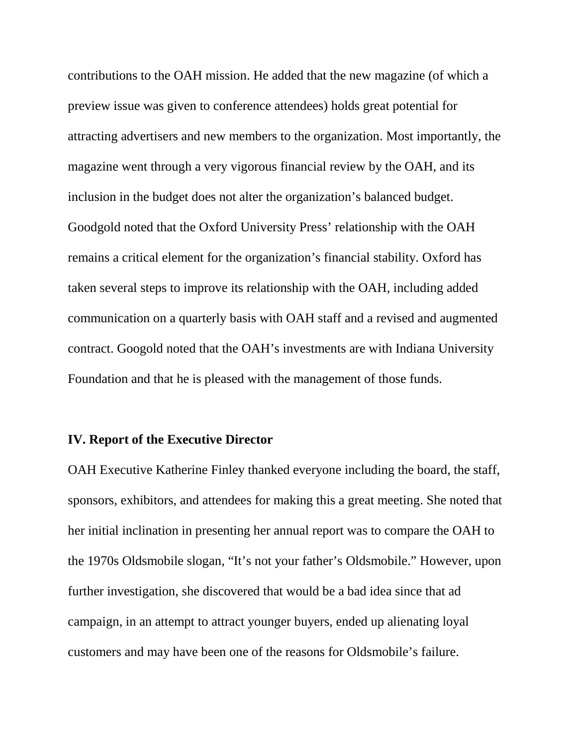contributions to the OAH mission. He added that the new magazine (of which a preview issue was given to conference attendees) holds great potential for attracting advertisers and new members to the organization. Most importantly, the magazine went through a very vigorous financial review by the OAH, and its inclusion in the budget does not alter the organization's balanced budget. Goodgold noted that the Oxford University Press' relationship with the OAH remains a critical element for the organization's financial stability. Oxford has taken several steps to improve its relationship with the OAH, including added communication on a quarterly basis with OAH staff and a revised and augmented contract. Googold noted that the OAH's investments are with Indiana University Foundation and that he is pleased with the management of those funds.

## **IV. Report of the Executive Director**

OAH Executive Katherine Finley thanked everyone including the board, the staff, sponsors, exhibitors, and attendees for making this a great meeting. She noted that her initial inclination in presenting her annual report was to compare the OAH to the 1970s Oldsmobile slogan, "It's not your father's Oldsmobile." However, upon further investigation, she discovered that would be a bad idea since that ad campaign, in an attempt to attract younger buyers, ended up alienating loyal customers and may have been one of the reasons for Oldsmobile's failure.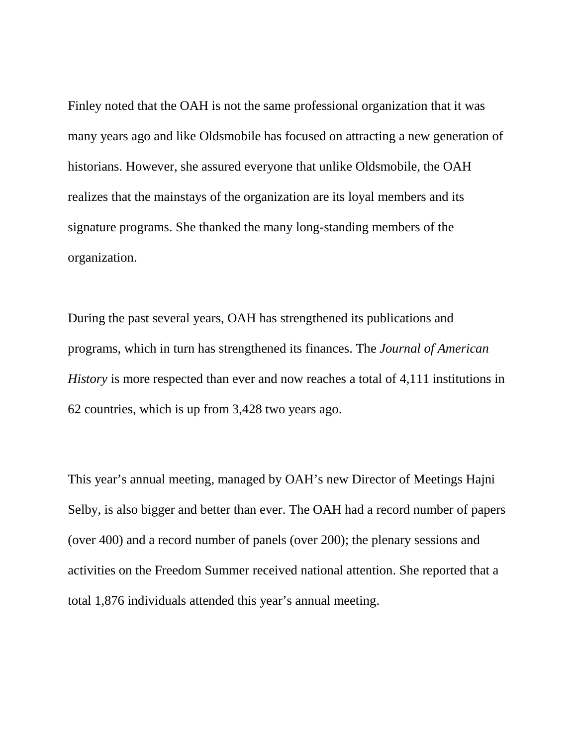Finley noted that the OAH is not the same professional organization that it was many years ago and like Oldsmobile has focused on attracting a new generation of historians. However, she assured everyone that unlike Oldsmobile, the OAH realizes that the mainstays of the organization are its loyal members and its signature programs. She thanked the many long-standing members of the organization.

During the past several years, OAH has strengthened its publications and programs, which in turn has strengthened its finances. The *Journal of American History* is more respected than ever and now reaches a total of 4,111 institutions in 62 countries, which is up from 3,428 two years ago.

This year's annual meeting, managed by OAH's new Director of Meetings Hajni Selby, is also bigger and better than ever. The OAH had a record number of papers (over 400) and a record number of panels (over 200); the plenary sessions and activities on the Freedom Summer received national attention. She reported that a total 1,876 individuals attended this year's annual meeting.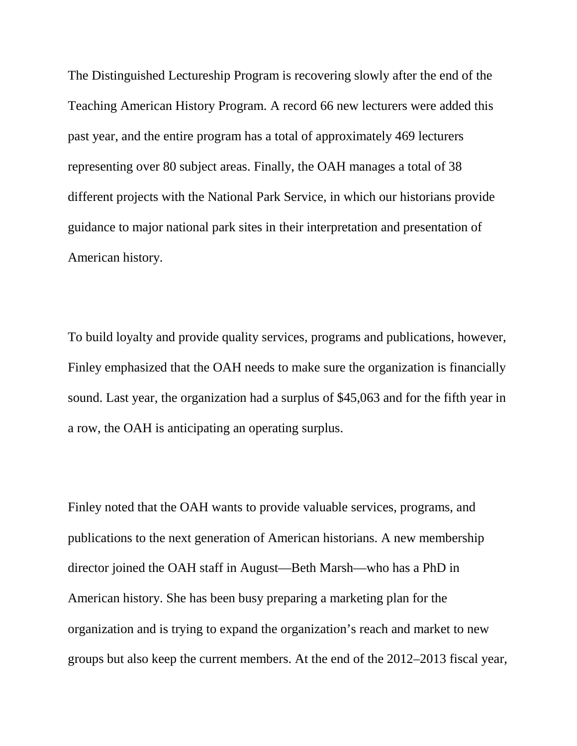The Distinguished Lectureship Program is recovering slowly after the end of the Teaching American History Program. A record 66 new lecturers were added this past year, and the entire program has a total of approximately 469 lecturers representing over 80 subject areas. Finally, the OAH manages a total of 38 different projects with the National Park Service, in which our historians provide guidance to major national park sites in their interpretation and presentation of American history.

To build loyalty and provide quality services, programs and publications, however, Finley emphasized that the OAH needs to make sure the organization is financially sound. Last year, the organization had a surplus of \$45,063 and for the fifth year in a row, the OAH is anticipating an operating surplus.

Finley noted that the OAH wants to provide valuable services, programs, and publications to the next generation of American historians. A new membership director joined the OAH staff in August—Beth Marsh—who has a PhD in American history. She has been busy preparing a marketing plan for the organization and is trying to expand the organization's reach and market to new groups but also keep the current members. At the end of the 2012–2013 fiscal year,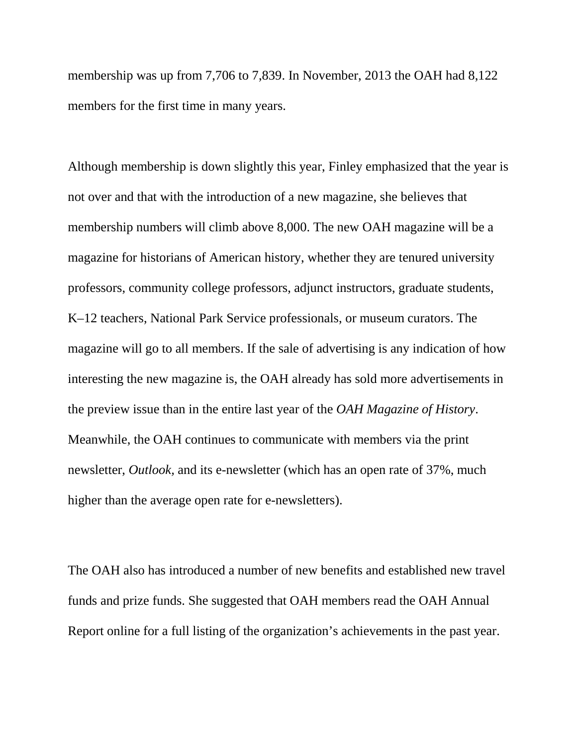membership was up from 7,706 to 7,839. In November, 2013 the OAH had 8,122 members for the first time in many years.

Although membership is down slightly this year, Finley emphasized that the year is not over and that with the introduction of a new magazine, she believes that membership numbers will climb above 8,000. The new OAH magazine will be a magazine for historians of American history, whether they are tenured university professors, community college professors, adjunct instructors, graduate students, K–12 teachers, National Park Service professionals, or museum curators. The magazine will go to all members. If the sale of advertising is any indication of how interesting the new magazine is, the OAH already has sold more advertisements in the preview issue than in the entire last year of the *OAH Magazine of History*. Meanwhile, the OAH continues to communicate with members via the print newsletter, *Outlook,* and its e-newsletter (which has an open rate of 37%, much higher than the average open rate for e-newsletters).

The OAH also has introduced a number of new benefits and established new travel funds and prize funds. She suggested that OAH members read the OAH Annual Report online for a full listing of the organization's achievements in the past year.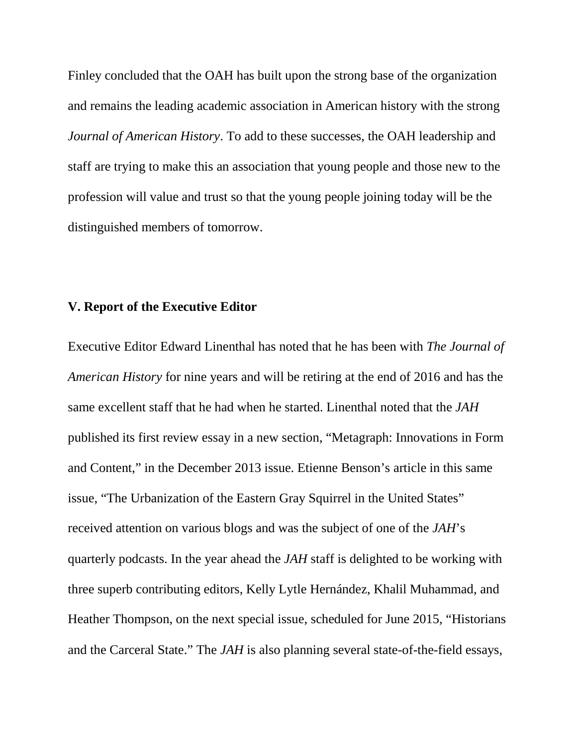Finley concluded that the OAH has built upon the strong base of the organization and remains the leading academic association in American history with the strong *Journal of American History*. To add to these successes, the OAH leadership and staff are trying to make this an association that young people and those new to the profession will value and trust so that the young people joining today will be the distinguished members of tomorrow.

### **V. Report of the Executive Editor**

Executive Editor Edward Linenthal has noted that he has been with *The Journal of American History* for nine years and will be retiring at the end of 2016 and has the same excellent staff that he had when he started. Linenthal noted that the *JAH*  published its first review essay in a new section, "Metagraph: Innovations in Form and Content," in the December 2013 issue. Etienne Benson's article in this same issue, "The Urbanization of the Eastern Gray Squirrel in the United States" received attention on various blogs and was the subject of one of the *JAH*'s quarterly podcasts. In the year ahead the *JAH* staff is delighted to be working with three superb contributing editors, Kelly Lytle Hernández, Khalil Muhammad, and Heather Thompson, on the next special issue, scheduled for June 2015, "Historians and the Carceral State." The *JAH* is also planning several state-of-the-field essays,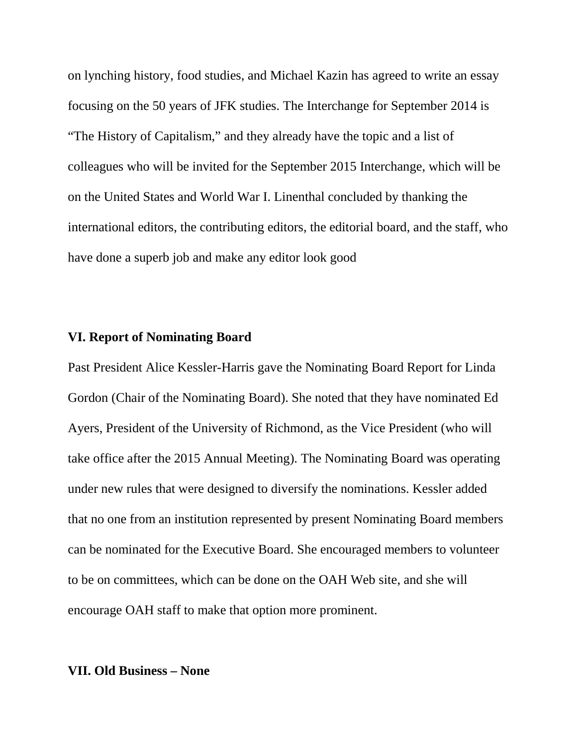on lynching history, food studies, and Michael Kazin has agreed to write an essay focusing on the 50 years of JFK studies. The Interchange for September 2014 is "The History of Capitalism," and they already have the topic and a list of colleagues who will be invited for the September 2015 Interchange, which will be on the United States and World War I. Linenthal concluded by thanking the international editors, the contributing editors, the editorial board, and the staff, who have done a superb job and make any editor look good

#### **VI. Report of Nominating Board**

Past President Alice Kessler-Harris gave the Nominating Board Report for Linda Gordon (Chair of the Nominating Board). She noted that they have nominated Ed Ayers, President of the University of Richmond, as the Vice President (who will take office after the 2015 Annual Meeting). The Nominating Board was operating under new rules that were designed to diversify the nominations. Kessler added that no one from an institution represented by present Nominating Board members can be nominated for the Executive Board. She encouraged members to volunteer to be on committees, which can be done on the OAH Web site, and she will encourage OAH staff to make that option more prominent.

### **VII. Old Business – None**